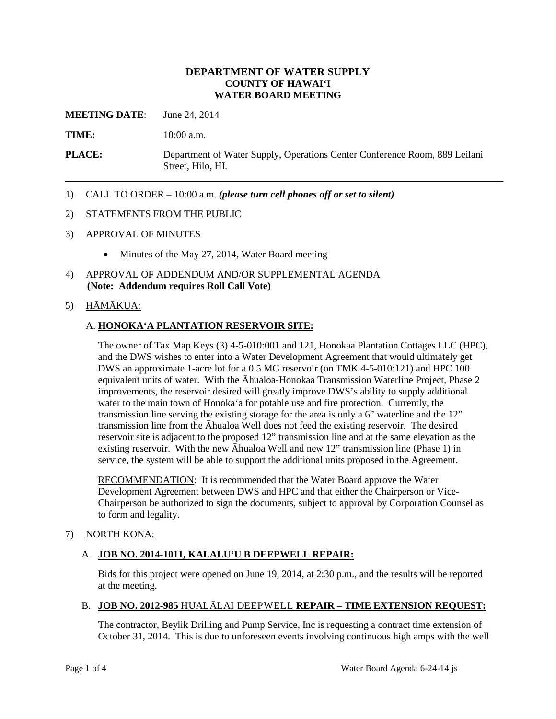## **DEPARTMENT OF WATER SUPPLY COUNTY OF HAWAI'I WATER BOARD MEETING**

**MEETING DATE**: June 24, 2014

**TIME:** 10:00 a.m.

**PLACE:** Department of Water Supply, Operations Center Conference Room, 889 Leilani Street, Hilo, HI.

1) CALL TO ORDER – 10:00 a.m. *(please turn cell phones off or set to silent)*

#### 2) STATEMENTS FROM THE PUBLIC

- 3) APPROVAL OF MINUTES
	- Minutes of the May 27, 2014, Water Board meeting
- 4) APPROVAL OF ADDENDUM AND/OR SUPPLEMENTAL AGENDA **(Note: Addendum requires Roll Call Vote)**

#### 5) HĀMĀKUA:

#### A. **HONOKA'A PLANTATION RESERVOIR SITE:**

The owner of Tax Map Keys (3) 4-5-010:001 and 121, Honokaa Plantation Cottages LLC (HPC), and the DWS wishes to enter into a Water Development Agreement that would ultimately get DWS an approximate 1-acre lot for a 0.5 MG reservoir (on TMK 4-5-010:121) and HPC 100 equivalent units of water. With the Āhualoa-Honokaa Transmission Waterline Project, Phase 2 improvements, the reservoir desired will greatly improve DWS's ability to supply additional water to the main town of Honoka'a for potable use and fire protection. Currently, the transmission line serving the existing storage for the area is only a 6" waterline and the 12" transmission line from the Āhualoa Well does not feed the existing reservoir. The desired reservoir site is adjacent to the proposed 12" transmission line and at the same elevation as the existing reservoir. With the new Āhualoa Well and new 12" transmission line (Phase 1) in service, the system will be able to support the additional units proposed in the Agreement.

RECOMMENDATION: It is recommended that the Water Board approve the Water Development Agreement between DWS and HPC and that either the Chairperson or Vice-Chairperson be authorized to sign the documents, subject to approval by Corporation Counsel as to form and legality.

#### 7) NORTH KONA:

#### A. **JOB NO. 2014-1011, KALALU'U B DEEPWELL REPAIR:**

Bids for this project were opened on June 19, 2014, at 2:30 p.m., and the results will be reported at the meeting.

# B. **JOB NO. 2012-985** HUALĀLAI DEEPWELL **REPAIR – TIME EXTENSION REQUEST:**

The contractor, Beylik Drilling and Pump Service, Inc is requesting a contract time extension of October 31, 2014. This is due to unforeseen events involving continuous high amps with the well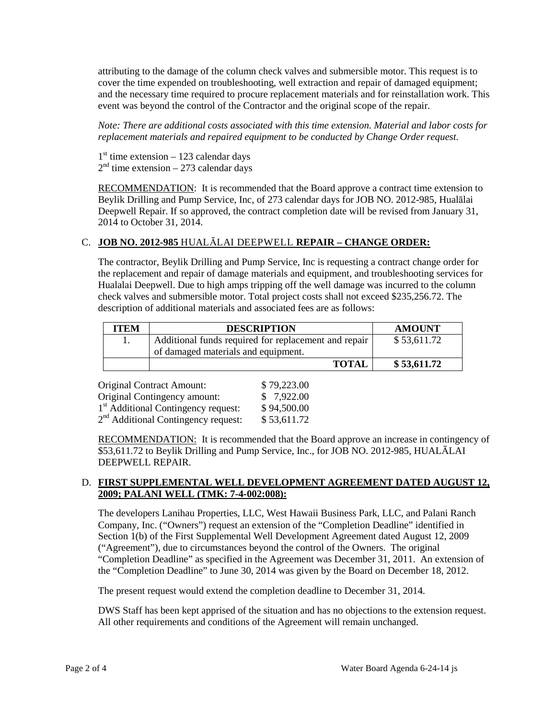attributing to the damage of the column check valves and submersible motor. This request is to cover the time expended on troubleshooting, well extraction and repair of damaged equipment; and the necessary time required to procure replacement materials and for reinstallation work. This event was beyond the control of the Contractor and the original scope of the repair.

*Note: There are additional costs associated with this time extension. Material and labor costs for replacement materials and repaired equipment to be conducted by Change Order request.*

 $1<sup>st</sup>$  time extension – 123 calendar days  $2<sup>nd</sup>$  time extension – 273 calendar days

RECOMMENDATION: It is recommended that the Board approve a contract time extension to Beylik Drilling and Pump Service, Inc, of 273 calendar days for JOB NO. 2012-985, Hualālai Deepwell Repair. If so approved, the contract completion date will be revised from January 31, 2014 to October 31, 2014.

# C. **JOB NO. 2012-985** HUALĀLAI DEEPWELL **REPAIR – CHANGE ORDER:**

The contractor, Beylik Drilling and Pump Service, Inc is requesting a contract change order for the replacement and repair of damage materials and equipment, and troubleshooting services for Hualalai Deepwell. Due to high amps tripping off the well damage was incurred to the column check valves and submersible motor. Total project costs shall not exceed \$235,256.72. The description of additional materials and associated fees are as follows:

| <b>ITEM</b> | <b>DESCRIPTION</b>                                   | <b>AMOUNT</b> |
|-------------|------------------------------------------------------|---------------|
|             | Additional funds required for replacement and repair | \$53,611.72   |
|             | of damaged materials and equipment.                  |               |
|             | <b>TOTAL</b>                                         | \$ 53,611.72  |

| <b>Original Contract Amount:</b>                | \$79,223.00 |
|-------------------------------------------------|-------------|
| <b>Original Contingency amount:</b>             | \$7,922.00  |
| 1 <sup>st</sup> Additional Contingency request: | \$94,500.00 |
| $2nd$ Additional Contingency request:           | \$53,611.72 |

RECOMMENDATION: It is recommended that the Board approve an increase in contingency of \$53,611.72 to Beylik Drilling and Pump Service, Inc., for JOB NO. 2012-985, HUALĀLAI DEEPWELL REPAIR.

## D. **FIRST SUPPLEMENTAL WELL DEVELOPMENT AGREEMENT DATED AUGUST 12, 2009; PALANI WELL (TMK: 7-4-002:008):**

The developers Lanihau Properties, LLC, West Hawaii Business Park, LLC, and Palani Ranch Company, Inc. ("Owners") request an extension of the "Completion Deadline" identified in Section 1(b) of the First Supplemental Well Development Agreement dated August 12, 2009 ("Agreement"), due to circumstances beyond the control of the Owners. The original "Completion Deadline" as specified in the Agreement was December 31, 2011. An extension of the "Completion Deadline" to June 30, 2014 was given by the Board on December 18, 2012.

The present request would extend the completion deadline to December 31, 2014.

DWS Staff has been kept apprised of the situation and has no objections to the extension request. All other requirements and conditions of the Agreement will remain unchanged.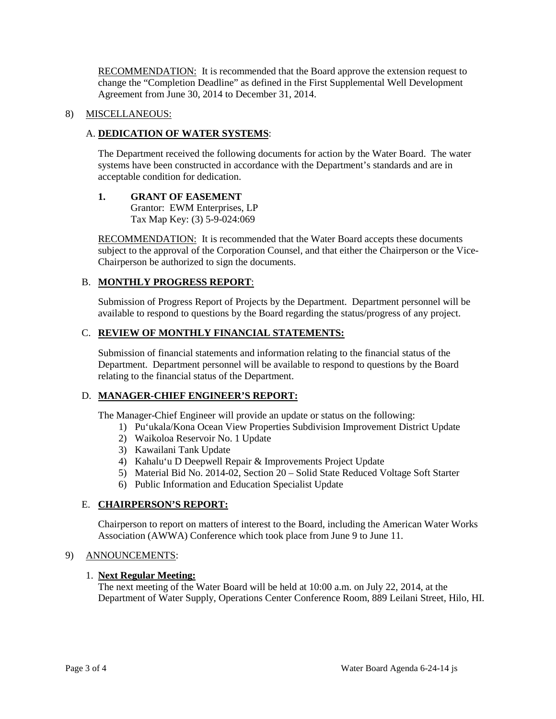RECOMMENDATION: It is recommended that the Board approve the extension request to change the "Completion Deadline" as defined in the First Supplemental Well Development Agreement from June 30, 2014 to December 31, 2014.

#### 8) MISCELLANEOUS:

#### A. **DEDICATION OF WATER SYSTEMS**:

The Department received the following documents for action by the Water Board. The water systems have been constructed in accordance with the Department's standards and are in acceptable condition for dedication.

## **1. GRANT OF EASEMENT**

Grantor: EWM Enterprises, LP Tax Map Key: (3) 5-9-024:069

RECOMMENDATION: It is recommended that the Water Board accepts these documents subject to the approval of the Corporation Counsel, and that either the Chairperson or the Vice-Chairperson be authorized to sign the documents.

# B. **MONTHLY PROGRESS REPORT**:

Submission of Progress Report of Projects by the Department. Department personnel will be available to respond to questions by the Board regarding the status/progress of any project.

## C. **REVIEW OF MONTHLY FINANCIAL STATEMENTS:**

Submission of financial statements and information relating to the financial status of the Department. Department personnel will be available to respond to questions by the Board relating to the financial status of the Department.

#### D. **MANAGER-CHIEF ENGINEER'S REPORT:**

The Manager-Chief Engineer will provide an update or status on the following:

- 1) Pu'ukala/Kona Ocean View Properties Subdivision Improvement District Update
- 2) Waikoloa Reservoir No. 1 Update
- 3) Kawailani Tank Update
- 4) Kahalu'u D Deepwell Repair & Improvements Project Update
- 5) Material Bid No. 2014-02, Section 20 Solid State Reduced Voltage Soft Starter
- 6) Public Information and Education Specialist Update

# E. **CHAIRPERSON'S REPORT:**

Chairperson to report on matters of interest to the Board, including the American Water Works Association (AWWA) Conference which took place from June 9 to June 11.

#### 9) ANNOUNCEMENTS:

#### 1. **Next Regular Meeting:**

The next meeting of the Water Board will be held at 10:00 a.m. on July 22, 2014, at the Department of Water Supply, Operations Center Conference Room, 889 Leilani Street, Hilo, HI.